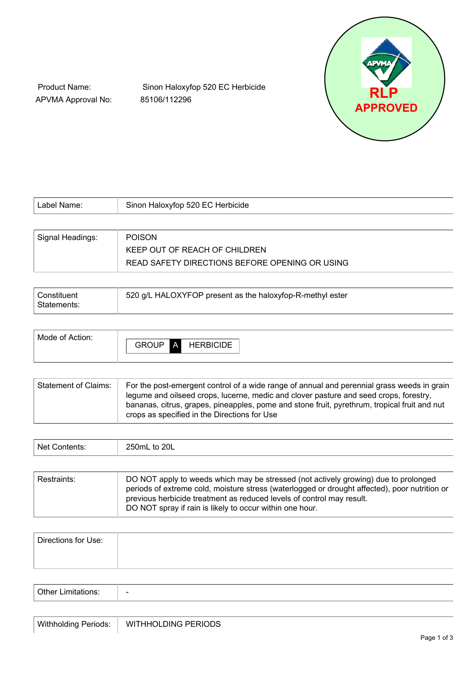

Product Name: APVMA Approval No:

Sinon Haloxyfop 520 EC Herbicide 85106/112296

| Label Name:      | Sinon Haloxyfop 520 EC Herbicide               |  |
|------------------|------------------------------------------------|--|
|                  |                                                |  |
| Signal Headings: | <b>POISON</b>                                  |  |
|                  | KEEP OUT OF REACH OF CHILDREN                  |  |
|                  | READ SAFETY DIRECTIONS BEFORE OPENING OR USING |  |

| Constituent | 520 g/L HALOXYFOP present as the haloxyfop-R-methyl ester |
|-------------|-----------------------------------------------------------|
| Statements: |                                                           |

| <b>Statement of Claims:</b> | For the post-emergent control of a wide range of annual and perennial grass weeds in grain<br>legume and oilseed crops, lucerne, medic and clover pasture and seed crops, forestry,<br>bananas, citrus, grapes, pineapples, pome and stone fruit, pyrethrum, tropical fruit and nut<br>crops as specified in the Directions for Use |
|-----------------------------|-------------------------------------------------------------------------------------------------------------------------------------------------------------------------------------------------------------------------------------------------------------------------------------------------------------------------------------|
|-----------------------------|-------------------------------------------------------------------------------------------------------------------------------------------------------------------------------------------------------------------------------------------------------------------------------------------------------------------------------------|

| to 20L<br><b>Net</b><br>--------<br><b>ZJUIIL</b> |  |  |  |
|---------------------------------------------------|--|--|--|
|---------------------------------------------------|--|--|--|

| Restraints: | DO NOT apply to weeds which may be stressed (not actively growing) due to prolonged                                                                                    |
|-------------|------------------------------------------------------------------------------------------------------------------------------------------------------------------------|
|             | periods of extreme cold, moisture stress (waterlogged or drought affected), poor nutrition or<br>previous herbicide treatment as reduced levels of control may result. |
|             | DO NOT spray if rain is likely to occur within one hour.                                                                                                               |

| Directions for Use: |  |  |  |
|---------------------|--|--|--|
|                     |  |  |  |
|                     |  |  |  |

| ∩ther I<br> | $\overline{\phantom{0}}$ |
|-------------|--------------------------|
|             |                          |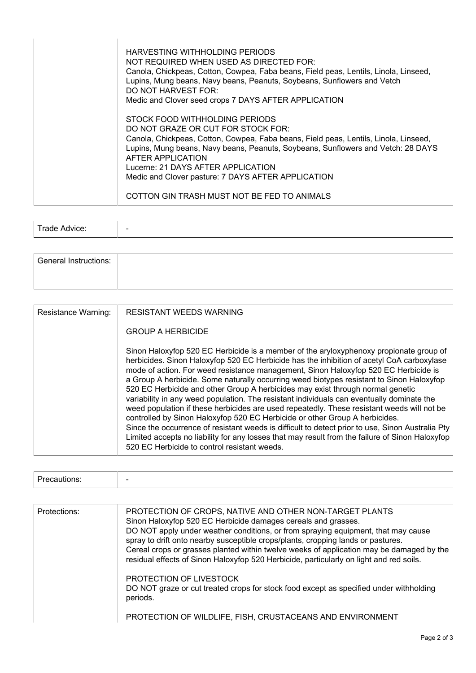| HARVESTING WITHHOLDING PERIODS<br>NOT REQUIRED WHEN USED AS DIRECTED FOR:<br>Canola, Chickpeas, Cotton, Cowpea, Faba beans, Field peas, Lentils, Linola, Linseed,<br>Lupins, Mung beans, Navy beans, Peanuts, Soybeans, Sunflowers and Vetch<br>DO NOT HARVEST FOR:<br>Medic and Clover seed crops 7 DAYS AFTER APPLICATION                                       |
|-------------------------------------------------------------------------------------------------------------------------------------------------------------------------------------------------------------------------------------------------------------------------------------------------------------------------------------------------------------------|
| STOCK FOOD WITHHOLDING PERIODS<br>DO NOT GRAZE OR CUT FOR STOCK FOR:<br>Canola, Chickpeas, Cotton, Cowpea, Faba beans, Field peas, Lentils, Linola, Linseed,<br>Lupins, Mung beans, Navy beans, Peanuts, Soybeans, Sunflowers and Vetch: 28 DAYS<br>AFTER APPLICATION<br>Lucerne: 21 DAYS AFTER APPLICATION<br>Medic and Clover pasture: 7 DAYS AFTER APPLICATION |
| COTTON GIN TRASH MUST NOT BE FED TO ANIMALS                                                                                                                                                                                                                                                                                                                       |

| $\sim$ |                          |
|--------|--------------------------|
|        | $\overline{\phantom{0}}$ |
|        |                          |

| <b>General Instructions:</b> |  |  |  |
|------------------------------|--|--|--|
|                              |  |  |  |

| Resistance Warning: | <b>RESISTANT WEEDS WARNING</b><br><b>GROUP A HERBICIDE</b>                                                                                                                                                                                                                                                                                                                                                                                                                                                                                                                                                                                                                                                                                                                                                                                                                                                                                                                                |
|---------------------|-------------------------------------------------------------------------------------------------------------------------------------------------------------------------------------------------------------------------------------------------------------------------------------------------------------------------------------------------------------------------------------------------------------------------------------------------------------------------------------------------------------------------------------------------------------------------------------------------------------------------------------------------------------------------------------------------------------------------------------------------------------------------------------------------------------------------------------------------------------------------------------------------------------------------------------------------------------------------------------------|
|                     | Sinon Haloxyfop 520 EC Herbicide is a member of the aryloxyphenoxy propionate group of<br>herbicides. Sinon Haloxyfop 520 EC Herbicide has the inhibition of acetyl CoA carboxylase<br>mode of action. For weed resistance management, Sinon Haloxyfop 520 EC Herbicide is<br>a Group A herbicide. Some naturally occurring weed biotypes resistant to Sinon Haloxyfop<br>520 EC Herbicide and other Group A herbicides may exist through normal genetic<br>variability in any weed population. The resistant individuals can eventually dominate the<br>weed population if these herbicides are used repeatedly. These resistant weeds will not be<br>controlled by Sinon Haloxyfop 520 EC Herbicide or other Group A herbicides.<br>Since the occurrence of resistant weeds is difficult to detect prior to use, Sinon Australia Pty<br>Limited accepts no liability for any losses that may result from the failure of Sinon Haloxyfop<br>520 EC Herbicide to control resistant weeds. |

| Protections: | PROTECTION OF CROPS, NATIVE AND OTHER NON-TARGET PLANTS<br>Sinon Haloxyfop 520 EC Herbicide damages cereals and grasses.<br>DO NOT apply under weather conditions, or from spraying equipment, that may cause<br>spray to drift onto nearby susceptible crops/plants, cropping lands or pastures.<br>Cereal crops or grasses planted within twelve weeks of application may be damaged by the<br>residual effects of Sinon Haloxyfop 520 Herbicide, particularly on light and red soils. |
|--------------|------------------------------------------------------------------------------------------------------------------------------------------------------------------------------------------------------------------------------------------------------------------------------------------------------------------------------------------------------------------------------------------------------------------------------------------------------------------------------------------|
|              | PROTECTION OF LIVESTOCK<br>DO NOT graze or cut treated crops for stock food except as specified under withholding<br>periods.                                                                                                                                                                                                                                                                                                                                                            |
|              | PROTECTION OF WILDLIFE, FISH, CRUSTACEANS AND ENVIRONMENT                                                                                                                                                                                                                                                                                                                                                                                                                                |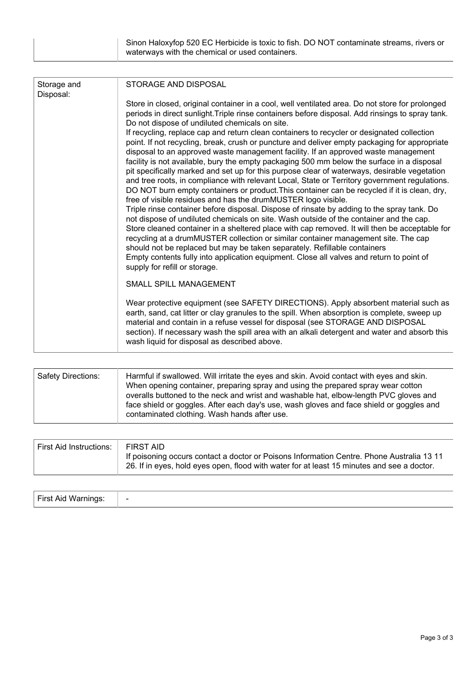| Sinon Haloxyfop 520 EC Herbicide is toxic to fish. DO NOT contaminate streams, rivers or |  |
|------------------------------------------------------------------------------------------|--|
| waterways with the chemical or used containers.                                          |  |

| Storage and<br>Disposal: | STORAGE AND DISPOSAL                                                                                                                                                                                                                                                                                                                                                                                                                                                                                                                                                                                                                                                                                                                                                                                                                                                                                                                                                                                                                                                                                                                                                                                                                                                                                                                       |  |  |  |  |
|--------------------------|--------------------------------------------------------------------------------------------------------------------------------------------------------------------------------------------------------------------------------------------------------------------------------------------------------------------------------------------------------------------------------------------------------------------------------------------------------------------------------------------------------------------------------------------------------------------------------------------------------------------------------------------------------------------------------------------------------------------------------------------------------------------------------------------------------------------------------------------------------------------------------------------------------------------------------------------------------------------------------------------------------------------------------------------------------------------------------------------------------------------------------------------------------------------------------------------------------------------------------------------------------------------------------------------------------------------------------------------|--|--|--|--|
|                          | Store in closed, original container in a cool, well ventilated area. Do not store for prolonged<br>periods in direct sunlight. Triple rinse containers before disposal. Add rinsings to spray tank.<br>Do not dispose of undiluted chemicals on site.                                                                                                                                                                                                                                                                                                                                                                                                                                                                                                                                                                                                                                                                                                                                                                                                                                                                                                                                                                                                                                                                                      |  |  |  |  |
|                          | If recycling, replace cap and return clean containers to recycler or designated collection<br>point. If not recycling, break, crush or puncture and deliver empty packaging for appropriate<br>disposal to an approved waste management facility. If an approved waste management<br>facility is not available, bury the empty packaging 500 mm below the surface in a disposal<br>pit specifically marked and set up for this purpose clear of waterways, desirable vegetation<br>and tree roots, in compliance with relevant Local, State or Territory government regulations.<br>DO NOT burn empty containers or product. This container can be recycled if it is clean, dry,<br>free of visible residues and has the drumMUSTER logo visible.<br>Triple rinse container before disposal. Dispose of rinsate by adding to the spray tank. Do<br>not dispose of undiluted chemicals on site. Wash outside of the container and the cap.<br>Store cleaned container in a sheltered place with cap removed. It will then be acceptable for<br>recycling at a drumMUSTER collection or similar container management site. The cap<br>should not be replaced but may be taken separately. Refillable containers<br>Empty contents fully into application equipment. Close all valves and return to point of<br>supply for refill or storage. |  |  |  |  |
|                          | <b>SMALL SPILL MANAGEMENT</b>                                                                                                                                                                                                                                                                                                                                                                                                                                                                                                                                                                                                                                                                                                                                                                                                                                                                                                                                                                                                                                                                                                                                                                                                                                                                                                              |  |  |  |  |
|                          | Wear protective equipment (see SAFETY DIRECTIONS). Apply absorbent material such as<br>earth, sand, cat litter or clay granules to the spill. When absorption is complete, sweep up<br>material and contain in a refuse vessel for disposal (see STORAGE AND DISPOSAL<br>section). If necessary wash the spill area with an alkali detergent and water and absorb this<br>wash liquid for disposal as described above.                                                                                                                                                                                                                                                                                                                                                                                                                                                                                                                                                                                                                                                                                                                                                                                                                                                                                                                     |  |  |  |  |

| <b>Safety Directions:</b> | Harmful if swallowed. Will irritate the eyes and skin. Avoid contact with eyes and skin.<br>When opening container, preparing spray and using the prepared spray wear cotton<br>overalls buttoned to the neck and wrist and washable hat, elbow-length PVC gloves and<br>face shield or goggles. After each day's use, wash gloves and face shield or goggles and<br>contaminated clothing. Wash hands after use. |
|---------------------------|-------------------------------------------------------------------------------------------------------------------------------------------------------------------------------------------------------------------------------------------------------------------------------------------------------------------------------------------------------------------------------------------------------------------|
|---------------------------|-------------------------------------------------------------------------------------------------------------------------------------------------------------------------------------------------------------------------------------------------------------------------------------------------------------------------------------------------------------------------------------------------------------------|

| <b>First Aid Instructions:</b> | FIRST AID<br>If poisoning occurs contact a doctor or Poisons Information Centre. Phone Australia 13 11<br>26. If in eyes, hold eyes open, flood with water for at least 15 minutes and see a doctor. |
|--------------------------------|------------------------------------------------------------------------------------------------------------------------------------------------------------------------------------------------------|
|--------------------------------|------------------------------------------------------------------------------------------------------------------------------------------------------------------------------------------------------|

| First Aid Warnings: | - |
|---------------------|---|
|---------------------|---|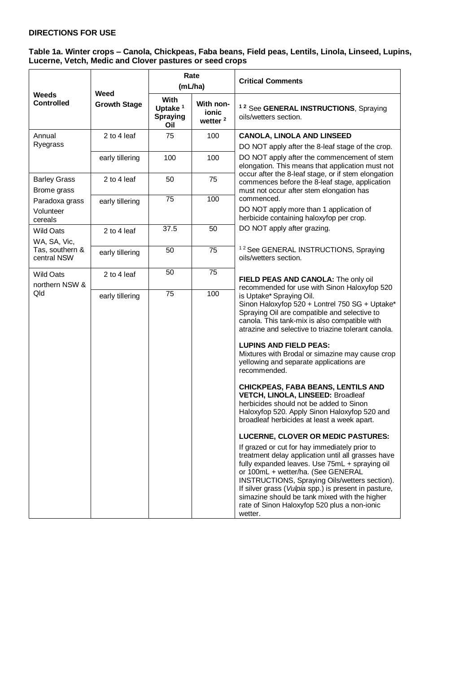# **DIRECTIONS FOR USE**

### **Table 1a. Winter crops – Canola, Chickpeas, Faba beans, Field peas, Lentils, Linola, Linseed, Lupins, Lucerne, Vetch, Medic and Clover pastures or seed crops**

|                                | Weed<br><b>Growth Stage</b> | Rate<br>(mL/ha)                                |                                           | <b>Critical Comments</b>                                                                                                                                                                                                                                                                                                                                                                                         |
|--------------------------------|-----------------------------|------------------------------------------------|-------------------------------------------|------------------------------------------------------------------------------------------------------------------------------------------------------------------------------------------------------------------------------------------------------------------------------------------------------------------------------------------------------------------------------------------------------------------|
| Weeds<br><b>Controlled</b>     |                             | With<br>Uptake <sup>1</sup><br>Spraying<br>Oil | With non-<br>ionic<br>wetter <sup>2</sup> | <sup>12</sup> See GENERAL INSTRUCTIONS, Spraying<br>oils/wetters section.                                                                                                                                                                                                                                                                                                                                        |
| Annual                         | 2 to 4 leaf                 | 75                                             | 100                                       | <b>CANOLA, LINOLA AND LINSEED</b>                                                                                                                                                                                                                                                                                                                                                                                |
| Ryegrass                       |                             |                                                |                                           | DO NOT apply after the 8-leaf stage of the crop.                                                                                                                                                                                                                                                                                                                                                                 |
|                                | early tillering             | 100                                            | 100                                       | DO NOT apply after the commencement of stem<br>elongation. This means that application must not                                                                                                                                                                                                                                                                                                                  |
| <b>Barley Grass</b>            | 2 to 4 leaf                 | 50                                             | 75                                        | occur after the 8-leaf stage, or if stem elongation<br>commences before the 8-leaf stage, application                                                                                                                                                                                                                                                                                                            |
| Brome grass                    |                             |                                                |                                           | must not occur after stem elongation has                                                                                                                                                                                                                                                                                                                                                                         |
| Paradoxa grass                 | early tillering             | 75                                             | 100                                       | commenced.                                                                                                                                                                                                                                                                                                                                                                                                       |
| Volunteer<br>cereals           |                             |                                                |                                           | DO NOT apply more than 1 application of<br>herbicide containing haloxyfop per crop.                                                                                                                                                                                                                                                                                                                              |
| <b>Wild Oats</b>               | 2 to 4 leaf                 | 37.5                                           | 50                                        | DO NOT apply after grazing.                                                                                                                                                                                                                                                                                                                                                                                      |
| WA, SA, Vic,                   |                             |                                                |                                           |                                                                                                                                                                                                                                                                                                                                                                                                                  |
| Tas, southern &<br>central NSW | early tillering             | 50                                             | 75                                        | <sup>12</sup> See GENERAL INSTRUCTIONS, Spraying<br>oils/wetters section.                                                                                                                                                                                                                                                                                                                                        |
| <b>Wild Oats</b>               | 2 to 4 leaf                 | 50                                             | 75                                        |                                                                                                                                                                                                                                                                                                                                                                                                                  |
| northern NSW &                 |                             |                                                |                                           | FIELD PEAS AND CANOLA: The only oil<br>recommended for use with Sinon Haloxyfop 520                                                                                                                                                                                                                                                                                                                              |
| Qld                            | early tillering             | 75                                             | 100                                       | is Uptake* Spraying Oil.<br>Sinon Haloxyfop 520 + Lontrel 750 SG + Uptake*<br>Spraying Oil are compatible and selective to<br>canola. This tank-mix is also compatible with<br>atrazine and selective to triazine tolerant canola.                                                                                                                                                                               |
|                                |                             |                                                |                                           | <b>LUPINS AND FIELD PEAS:</b><br>Mixtures with Brodal or simazine may cause crop<br>yellowing and separate applications are<br>recommended.                                                                                                                                                                                                                                                                      |
|                                |                             |                                                |                                           | <b>CHICKPEAS, FABA BEANS, LENTILS AND</b><br>VETCH, LINOLA, LINSEED: Broadleaf<br>herbicides should not be added to Sinon<br>Haloxyfop 520. Apply Sinon Haloxyfop 520 and<br>broadleaf herbicides at least a week apart.                                                                                                                                                                                         |
|                                |                             |                                                |                                           | LUCERNE, CLOVER OR MEDIC PASTURES:                                                                                                                                                                                                                                                                                                                                                                               |
|                                |                             |                                                |                                           | If grazed or cut for hay immediately prior to<br>treatment delay application until all grasses have<br>fully expanded leaves. Use 75mL + spraying oil<br>or 100mL + wetter/ha. (See GENERAL<br>INSTRUCTIONS, Spraying Oils/wetters section).<br>If silver grass (Vulpia spp.) is present in pasture,<br>simazine should be tank mixed with the higher<br>rate of Sinon Haloxyfop 520 plus a non-ionic<br>wetter. |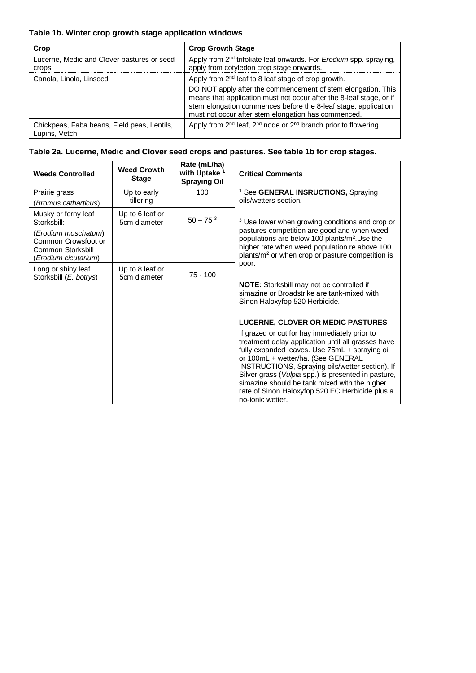# **Table 1b. Winter crop growth stage application windows**

| Crop                                                         | <b>Crop Growth Stage</b>                                                                                                                                                                                                                                                                                                        |
|--------------------------------------------------------------|---------------------------------------------------------------------------------------------------------------------------------------------------------------------------------------------------------------------------------------------------------------------------------------------------------------------------------|
| Lucerne, Medic and Clover pastures or seed<br>crops.         | Apply from 2 <sup>nd</sup> trifoliate leaf onwards. For <i>Erodium</i> spp. spraying,<br>apply from cotyledon crop stage onwards.                                                                                                                                                                                               |
| Canola, Linola, Linseed                                      | Apply from 2 <sup>nd</sup> leaf to 8 leaf stage of crop growth.<br>DO NOT apply after the commencement of stem elongation. This<br>means that application must not occur after the 8-leaf stage, or if<br>stem elongation commences before the 8-leaf stage, application<br>must not occur after stem elongation has commenced. |
| Chickpeas, Faba beans, Field peas, Lentils,<br>Lupins, Vetch | Apply from 2 <sup>nd</sup> leaf, 2 <sup>nd</sup> node or 2 <sup>nd</sup> branch prior to flowering.                                                                                                                                                                                                                             |

|  |  | Table 2a. Lucerne, Medic and Clover seed crops and pastures. See table 1b for crop stages. |
|--|--|--------------------------------------------------------------------------------------------|
|  |  |                                                                                            |

| <b>Weeds Controlled</b>                                                                                                       | <b>Weed Growth</b><br><b>Stage</b> | Rate (mL/ha)<br>with Uptake <sup>1</sup><br><b>Spraying Oil</b> | <b>Critical Comments</b>                                                                                                                                                                                                                                                                                                                                                                                                                                                                                                                                                                                                |
|-------------------------------------------------------------------------------------------------------------------------------|------------------------------------|-----------------------------------------------------------------|-------------------------------------------------------------------------------------------------------------------------------------------------------------------------------------------------------------------------------------------------------------------------------------------------------------------------------------------------------------------------------------------------------------------------------------------------------------------------------------------------------------------------------------------------------------------------------------------------------------------------|
| Prairie grass<br>(Bromus catharticus)                                                                                         | Up to early<br>tillering           | 100                                                             | <sup>1</sup> See GENERAL INSRUCTIONS, Spraying<br>oils/wetters section.                                                                                                                                                                                                                                                                                                                                                                                                                                                                                                                                                 |
| Musky or ferny leaf<br>Storksbill:<br>(Erodium moschatum)<br>Common Crowsfoot or<br>Common Storksbill<br>(Erodium cicutarium) | Up to 6 leaf or<br>5cm diameter    | $50 - 753$                                                      | <sup>3</sup> Use lower when growing conditions and crop or<br>pastures competition are good and when weed<br>populations are below 100 plants/m <sup>2</sup> . Use the<br>higher rate when weed population re above 100<br>plants/ $m2$ or when crop or pasture competition is                                                                                                                                                                                                                                                                                                                                          |
| Long or shiny leaf<br>Storksbill (E. botrys)                                                                                  | Up to 8 leaf or<br>5cm diameter    | $75 - 100$                                                      | poor.<br><b>NOTE:</b> Storksbill may not be controlled if<br>simazine or Broadstrike are tank-mixed with<br>Sinon Haloxyfop 520 Herbicide.<br><b>LUCERNE, CLOVER OR MEDIC PASTURES</b><br>If grazed or cut for hay immediately prior to<br>treatment delay application until all grasses have<br>fully expanded leaves. Use 75mL + spraying oil<br>or 100mL + wetter/ha. (See GENERAL<br>INSTRUCTIONS, Spraying oils/wetter section). If<br>Silver grass (Vulpia spp.) is presented in pasture,<br>simazine should be tank mixed with the higher<br>rate of Sinon Haloxyfop 520 EC Herbicide plus a<br>no-ionic wetter. |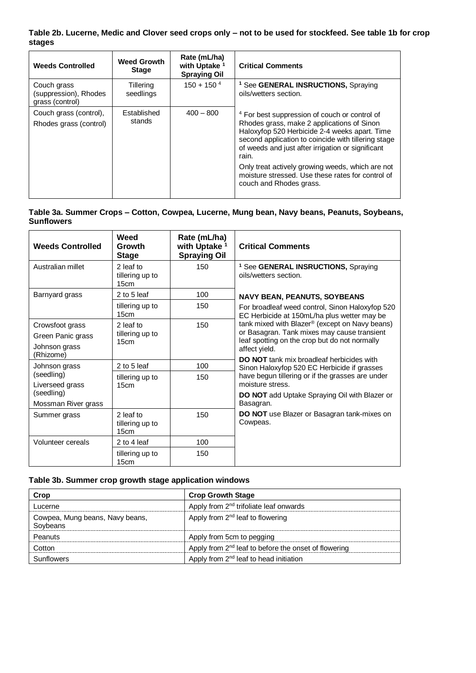# **Table 2b. Lucerne, Medic and Clover seed crops only – not to be used for stockfeed. See table 1b for crop stages**

| <b>Weeds Controlled</b>                                 | <b>Weed Growth</b><br><b>Stage</b> | Rate (mL/ha)<br>with Uptake <sup>1</sup><br><b>Spraying Oil</b> | <b>Critical Comments</b>                                                                                                                                                                                                                                                                                                                                                                                         |
|---------------------------------------------------------|------------------------------------|-----------------------------------------------------------------|------------------------------------------------------------------------------------------------------------------------------------------------------------------------------------------------------------------------------------------------------------------------------------------------------------------------------------------------------------------------------------------------------------------|
| Couch grass<br>(suppression), Rhodes<br>grass (control) | Tillering<br>seedlings             | $150 + 150^{4}$                                                 | <sup>1</sup> See <b>GENERAL INSRUCTIONS</b> , Spraying<br>oils/wetters section.                                                                                                                                                                                                                                                                                                                                  |
| Couch grass (control),<br>Rhodes grass (control)        | Established<br>stands              | $400 - 800$                                                     | <sup>4</sup> For best suppression of couch or control of<br>Rhodes grass, make 2 applications of Sinon<br>Haloxyfop 520 Herbicide 2-4 weeks apart. Time<br>second application to coincide with tillering stage<br>of weeds and just after irrigation or significant<br>rain.<br>Only treat actively growing weeds, which are not<br>moisture stressed. Use these rates for control of<br>couch and Rhodes grass. |

# **Table 3a. Summer Crops – Cotton, Cowpea, Lucerne, Mung bean, Navy beans, Peanuts, Soybeans, Sunflowers**

| <b>Weeds Controlled</b>           | Weed<br>Growth<br><b>Stage</b>       | Rate (mL/ha)<br>with Uptake <sup>1</sup><br><b>Spraying Oil</b> | <b>Critical Comments</b>                                                                        |  |  |
|-----------------------------------|--------------------------------------|-----------------------------------------------------------------|-------------------------------------------------------------------------------------------------|--|--|
| Australian millet                 | 2 leaf to<br>tillering up to<br>15cm | 150                                                             | <sup>1</sup> See GENERAL INSRUCTIONS, Spraying<br>oils/wetters section.                         |  |  |
| Barnyard grass                    | 2 to 5 leaf                          | 100                                                             | <b>NAVY BEAN, PEANUTS, SOYBEANS</b>                                                             |  |  |
|                                   | tillering up to<br>15cm              | 150                                                             | For broadleaf weed control, Sinon Haloxyfop 520<br>EC Herbicide at 150mL/ha plus wetter may be  |  |  |
| Crowsfoot grass                   | 2 leaf to                            | 150                                                             | tank mixed with Blazer® (except on Navy beans)                                                  |  |  |
| Green Panic grass                 | tillering up to<br>15cm              |                                                                 | or Basagran. Tank mixes may cause transient<br>leaf spotting on the crop but do not normally    |  |  |
| Johnson grass<br>(Rhizome)        |                                      |                                                                 | affect yield.                                                                                   |  |  |
| Johnson grass                     | 2 to 5 leaf                          | 100                                                             | <b>DO NOT</b> tank mix broadleaf herbicides with<br>Sinon Haloxyfop 520 EC Herbicide if grasses |  |  |
| (seedling)<br>Liverseed grass     | tillering up to<br>15cm              | 150                                                             | have begun tillering or if the grasses are under<br>moisture stress.                            |  |  |
| (seedling)<br>Mossman River grass |                                      |                                                                 | <b>DO NOT</b> add Uptake Spraying Oil with Blazer or<br>Basagran.                               |  |  |
| Summer grass                      | 2 leaf to<br>tillering up to<br>15cm | 150                                                             | DO NOT use Blazer or Basagran tank-mixes on<br>Cowpeas.                                         |  |  |
| Volunteer cereals                 | 2 to 4 leaf                          | 100                                                             |                                                                                                 |  |  |
|                                   | tillering up to<br>15cm              | 150                                                             |                                                                                                 |  |  |

## **Table 3b. Summer crop growth stage application windows**

| Crop                                        | <b>Crop Growth Stage</b>                                         |
|---------------------------------------------|------------------------------------------------------------------|
| Lucerne                                     | Apply from 2 <sup>nd</sup> trifoliate leaf onwards               |
| Cowpea, Mung beans, Navy beans,<br>Soybeans | Apply from 2 <sup>nd</sup> leaf to flowering                     |
| Peanuts                                     | Apply from 5cm to pegging                                        |
| Cotton                                      | Apply from 2 <sup>nd</sup> leaf to before the onset of flowering |
| Sunflowers                                  | Apply from 2 <sup>nd</sup> leaf to head initiation               |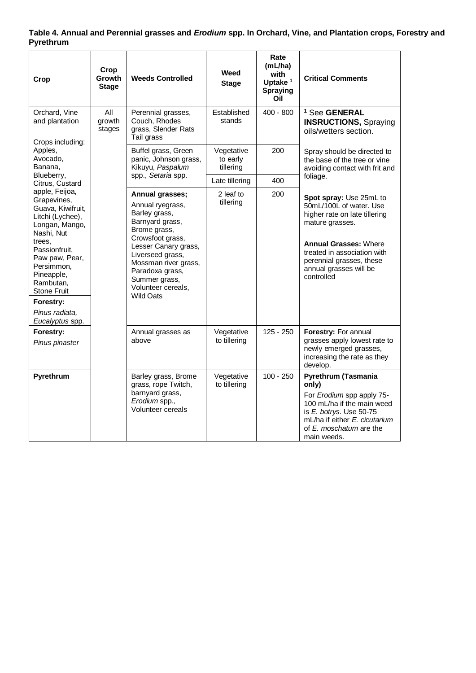# **Table 4. Annual and Perennial grasses and** *Erodium* **spp. In Orchard, Vine, and Plantation crops, Forestry and Pyrethrum**

| Crop                                                                                                                                                                                                                                                                 | Crop<br>Growth<br><b>Stage</b> | <b>Weeds Controlled</b>                                                                                                                                                                                                                                       | Weed<br><b>Stage</b>                | Rate<br>(mL/ha)<br>with<br>Uptake <sup>1</sup><br><b>Spraying</b><br>Oil | <b>Critical Comments</b>                                                                                                                                                                                                                  |
|----------------------------------------------------------------------------------------------------------------------------------------------------------------------------------------------------------------------------------------------------------------------|--------------------------------|---------------------------------------------------------------------------------------------------------------------------------------------------------------------------------------------------------------------------------------------------------------|-------------------------------------|--------------------------------------------------------------------------|-------------------------------------------------------------------------------------------------------------------------------------------------------------------------------------------------------------------------------------------|
| Orchard, Vine<br>All<br>and plantation<br>growth<br>stages<br>Crops including:<br>Apples,<br>Avocado,<br>Banana.<br>Blueberry,<br>Citrus, Custard                                                                                                                    |                                | Perennial grasses,<br>Couch, Rhodes<br>grass, Slender Rats<br>Tail grass                                                                                                                                                                                      | Established<br>stands               | $400 - 800$                                                              | <sup>1</sup> See GENERAL<br><b>INSRUCTIONS, Spraying</b><br>oils/wetters section.                                                                                                                                                         |
|                                                                                                                                                                                                                                                                      |                                | Buffel grass, Green<br>panic, Johnson grass,<br>Kikuyu, Paspalum                                                                                                                                                                                              | Vegetative<br>to early<br>tillering | 200                                                                      | Spray should be directed to<br>the base of the tree or vine<br>avoiding contact with frit and                                                                                                                                             |
|                                                                                                                                                                                                                                                                      |                                | spp., Setaria spp.                                                                                                                                                                                                                                            | Late tillering                      | 400                                                                      | foliage.                                                                                                                                                                                                                                  |
| apple, Feijoa,<br>Grapevines,<br>Guava, Kiwifruit,<br>Litchi (Lychee),<br>Longan, Mango,<br>Nashi, Nut<br>trees.<br>Passionfruit,<br>Paw paw, Pear,<br>Persimmon,<br>Pineapple,<br>Rambutan,<br><b>Stone Fruit</b><br>Forestry:<br>Pinus radiata.<br>Eucalyptus spp. |                                | Annual grasses;<br>Annual ryegrass,<br>Barley grass,<br>Barnyard grass,<br>Brome grass,<br>Crowsfoot grass,<br>Lesser Canary grass,<br>Liverseed grass,<br>Mossman river grass,<br>Paradoxa grass,<br>Summer grass,<br>Volunteer cereals,<br><b>Wild Oats</b> | 2 leaf to<br>tillering              | 200                                                                      | Spot spray: Use 25mL to<br>50mL/100L of water. Use<br>higher rate on late tillering<br>mature grasses.<br><b>Annual Grasses: Where</b><br>treated in association with<br>perennial grasses, these<br>annual grasses will be<br>controlled |
| Forestry:<br>Pinus pinaster                                                                                                                                                                                                                                          |                                | Annual grasses as<br>above                                                                                                                                                                                                                                    | Vegetative<br>to tillering          | $125 - 250$                                                              | Forestry: For annual<br>grasses apply lowest rate to<br>newly emerged grasses,<br>increasing the rate as they<br>develop.                                                                                                                 |
| Pyrethrum                                                                                                                                                                                                                                                            |                                | Barley grass, Brome<br>grass, rope Twitch,<br>barnyard grass,<br>Erodium spp.,<br><b>Volunteer cereals</b>                                                                                                                                                    | Vegetative<br>to tillering          | $100 - 250$                                                              | Pyrethrum (Tasmania<br>only)<br>For Erodium spp apply 75-<br>100 mL/ha if the main weed<br>is E. botrys. Use 50-75<br>mL/ha if either E. cicutarium<br>of E. moschatum are the<br>main weeds.                                             |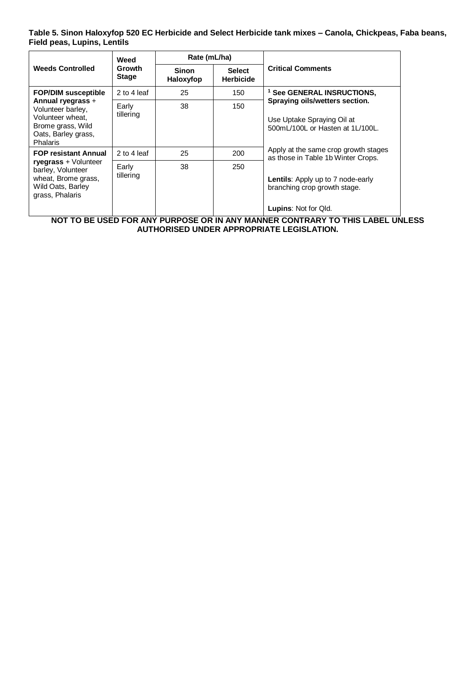**Table 5. Sinon Haloxyfop 520 EC Herbicide and Select Herbicide tank mixes – Canola, Chickpeas, Faba beans, Field peas, Lupins, Lentils**

|                                                                                                                                         | Weed                          | Rate (mL/ha)       |                                   |                                                                                                         |  |  |
|-----------------------------------------------------------------------------------------------------------------------------------------|-------------------------------|--------------------|-----------------------------------|---------------------------------------------------------------------------------------------------------|--|--|
| <b>Weeds Controlled</b>                                                                                                                 | <b>Growth</b><br><b>Stage</b> | Sinon<br>Haloxyfop | <b>Select</b><br><b>Herbicide</b> | <b>Critical Comments</b>                                                                                |  |  |
| <b>FOP/DIM susceptible</b>                                                                                                              | 2 to 4 leaf                   | 25                 | 150                               | <sup>1</sup> See GENERAL INSRUCTIONS.                                                                   |  |  |
| Annual ryegrass +<br>Volunteer barley,<br>Volunteer wheat.<br>Brome grass, Wild<br>Oats, Barley grass,<br>Phalaris                      | Early<br>tillering            | 38                 | 150                               | Spraying oils/wetters section.<br>Use Uptake Spraying Oil at<br>500mL/100L or Hasten at 1L/100L.        |  |  |
| <b>FOP resistant Annual</b><br>ryegrass + Volunteer<br>barley, Volunteer<br>wheat, Brome grass,<br>Wild Oats, Barley<br>grass, Phalaris | 2 to 4 leaf                   | 25                 | 200                               | Apply at the same crop growth stages<br>as those in Table 1b Winter Crops.                              |  |  |
|                                                                                                                                         | Early<br>tillering            | 38                 | 250                               | <b>Lentils:</b> Apply up to 7 node-early<br>branching crop growth stage.<br><b>Lupins: Not for Qld.</b> |  |  |

**NOT TO BE USED FOR ANY PURPOSE OR IN ANY MANNER CONTRARY TO THIS LABEL UNLESS AUTHORISED UNDER APPROPRIATE LEGISLATION.**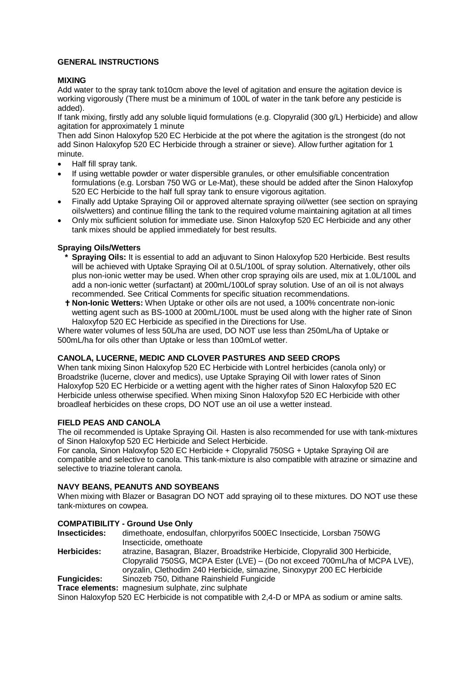# **GENERAL INSTRUCTIONS**

# **MIXING**

Add water to the spray tank to10cm above the level of agitation and ensure the agitation device is working vigorously (There must be a minimum of 100L of water in the tank before any pesticide is added).

If tank mixing, firstly add any soluble liquid formulations (e.g. Clopyralid (300 g/L) Herbicide) and allow agitation for approximately 1 minute

Then add Sinon Haloxyfop 520 EC Herbicide at the pot where the agitation is the strongest (do not add Sinon Haloxyfop 520 EC Herbicide through a strainer or sieve). Allow further agitation for 1 minute.

- Half fill spray tank.
- If using wettable powder or water dispersible granules, or other emulsifiable concentration formulations (e.g. Lorsban 750 WG or Le-Mat), these should be added after the Sinon Haloxyfop 520 EC Herbicide to the half full spray tank to ensure vigorous agitation.
- Finally add Uptake Spraying Oil or approved alternate spraying oil/wetter (see section on spraying oils/wetters) and continue filling the tank to the required volume maintaining agitation at all times
- Only mix sufficient solution for immediate use. Sinon Haloxyfop 520 EC Herbicide and any other tank mixes should be applied immediately for best results.

## **Spraying Oils/Wetters**

- **\* Spraying Oils:** It is essential to add an adjuvant to Sinon Haloxyfop 520 Herbicide. Best results will be achieved with Uptake Spraying Oil at 0.5L/100L of spray solution. Alternatively, other oils plus non-ionic wetter may be used. When other crop spraying oils are used, mix at 1.0L/100L and add a non-ionic wetter (surfactant) at 200mL/100Lof spray solution. Use of an oil is not always recommended. See Critical Comments for specific situation recommendations.
- **Non-Ionic Wetters:** When Uptake or other oils are not used, a 100% concentrate non-ionic wetting agent such as BS-1000 at 200mL/100L must be used along with the higher rate of Sinon Haloxyfop 520 EC Herbicide as specified in the Directions for Use.

Where water volumes of less 50L/ha are used, DO NOT use less than 250mL/ha of Uptake or 500mL/ha for oils other than Uptake or less than 100mLof wetter.

# **CANOLA, LUCERNE, MEDIC AND CLOVER PASTURES AND SEED CROPS**

When tank mixing Sinon Haloxyfop 520 EC Herbicide with Lontrel herbicides (canola only) or Broadstrike (lucerne, clover and medics), use Uptake Spraying Oil with lower rates of Sinon Haloxyfop 520 EC Herbicide or a wetting agent with the higher rates of Sinon Haloxyfop 520 EC Herbicide unless otherwise specified. When mixing Sinon Haloxyfop 520 EC Herbicide with other broadleaf herbicides on these crops, DO NOT use an oil use a wetter instead.

#### **FIELD PEAS AND CANOLA**

The oil recommended is Uptake Spraying Oil. Hasten is also recommended for use with tank-mixtures of Sinon Haloxyfop 520 EC Herbicide and Select Herbicide.

For canola, Sinon Haloxyfop 520 EC Herbicide + Clopyralid 750SG + Uptake Spraying Oil are compatible and selective to canola. This tank-mixture is also compatible with atrazine or simazine and selective to triazine tolerant canola.

#### **NAVY BEANS, PEANUTS AND SOYBEANS**

When mixing with Blazer or Basagran DO NOT add spraying oil to these mixtures. DO NOT use these tank-mixtures on cowpea.

# **COMPATIBILITY - Ground Use Only**

**Insecticides:** dimethoate, endosulfan, chlorpyrifos 500EC Insecticide, Lorsban 750WG Insecticide, omethoate **Herbicides:** atrazine, Basagran, Blazer, Broadstrike Herbicide, Clopyralid 300 Herbicide, Clopyralid 750SG, MCPA Ester (LVE) – (Do not exceed 700mL/ha of MCPA LVE),

oryzalin, Clethodim 240 Herbicide, simazine, Sinoxypyr 200 EC Herbicide

**Fungicides:** Sinozeb 750, Dithane Rainshield Fungicide

**Trace elements:** magnesium sulphate, zinc sulphate

Sinon Haloxyfop 520 EC Herbicide is not compatible with 2,4-D or MPA as sodium or amine salts.